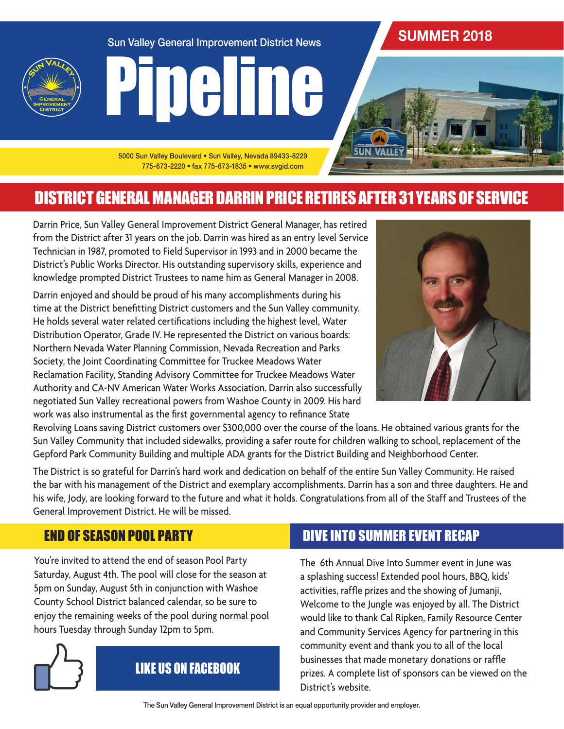Sun Valley General Improvement District News

## **SUMMER 2018**

**SUN VALLE** 





5000 Sun Valley Boulevard • Sun Valley, Nevada 89433-8229 775-673-2220 • fax 775-673-1835 • www.svgid.com

# DISTRICT GENERAL MANAGER DARRIN PRICE RETIRES AFTER 31 YEARS OF SERVICE

Darrin Price, Sun Valley General Improvement District General Manager, has retired from the District after 31 years on the job. Darrin was hired as an entry level Service Technician in 1987, promoted to Field Supervisor in 1993 and in 2000 became the District's Public Works Director. His outstanding supervisory skills, experience and knowledge prompted District Trustees to name him as General Manager in 2008.

Darrin enjoyed and should be proud of his many accomplishments during his time at the District benefitting District customers and the Sun Valley community. He holds several water related certifications including the highest level, Water Distribution Operator, Grade IV. He represented the District on various boards: Northern Nevada Water Planning Commission, Nevada Recreation and Parks Society, the Joint Coordinating Committee for Truckee Meadows Water Reclamation Facility, Standing Advisory Committee for Truckee Meadows Water Authority and CA-NV American Water Works Association. Darrin also successfully negotiated Sun Valley recreational powers from Washoe County in 2009. His hard work was also instrumental as the first governmental agency to refinance State



Revolving Loans saving District customers over \$300,000 over the course of the loans. He obtained various grants for the Sun Valley Community that included sidewalks, providing a safer route for children walking to school, replacement of the Gepford Park Community Building and multiple ADA grants for the District Building and Neighborhood Center.

The District is so grateful for Darrin's hard work and dedication on behalf of the entire Sun Valley Community. He raised the bar with his management of the District and exemplary accomplishments. Darrin has a son and three daughters. He and his wife, Jody, are looking forward to the future and what it holds. Congratulations from all of the Staff and Trustees of the General Improvement District. He will be missed.

### END OF SEASON POOL PARTY

You're invited to attend the end of season Pool Party Saturday, August 4th. The pool will close for the season at 5pm on Sunday, August 5th in conjunction with Washoe County School District balanced calendar, so be sure to enjoy the remaining weeks of the pool during normal pool hours Tuesday through Sunday 12pm to 5pm.



# LIKE US ON FACEBOOK

### DIVE INTO SUMMER EVENT RECAP

The 6th Annual Dive Into Summer event in June was a splashing success! Extended pool hours, BBQ, kids' activities, raffle prizes and the showing of Jumanji, Welcome to the Jungle was enjoyed by all. The District would like to thank Cal Ripken, Family Resource Center and Community Services Agency for partnering in this community event and thank you to all of the local businesses that made monetary donations or raffle prizes. A complete list of sponsors can be viewed on the District's website.